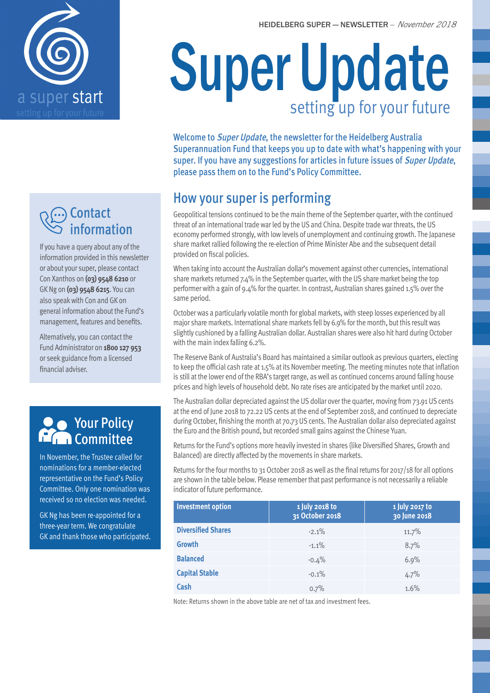

## **∩**Contact information

If you have a query about any of the information provided in this newsletter or about your super, please contact Con Xanthos on **(03) 9548 6210** or GK Ng on **(03) 9548 6215**. You can also speak with Con and GK on general information about the Fund's management, features and benefits.

Alternatively, you can contact the Fund Administrator on **1800 127 953**  or seek guidance from a licensed financial adviser.

### Your Policy Committee

In November, the Trustee called for nominations for a member-elected representative on the Fund's Policy Committee. Only one nomination was received so no election was needed.

GK Ng has been re-appointed for a three-year term. We congratulate GK and thank those who participated.

# Super Update setting up for your future

Welcome to Super Update, the newsletter for the Heidelberg Australia Superannuation Fund that keeps you up to date with what's happening with your super. If you have any suggestions for articles in future issues of Super Update, please pass them on to the Fund's Policy Committee.

# How your super is performing

Geopolitical tensions continued to be the main theme of the September quarter, with the continued threat of an international trade war led by the US and China. Despite trade war threats, the US economy performed strongly, with low levels of unemployment and continuing growth. The Japanese share market rallied following the re-election of Prime Minister Abe and the subsequent detail provided on fiscal policies.

When taking into account the Australian dollar's movement against other currencies, international share markets returned 7.4% in the September quarter, with the US share market being the top performer with a gain of 9.4% for the quarter. In contrast, Australian shares gained 1.5% over the same period.

October was a particularly volatile month for global markets, with steep losses experienced by all major share markets. International share markets fell by 6.9% for the month, but this result was slightly cushioned by a falling Australian dollar. Australian shares were also hit hard during October with the main index falling 6.2%.

The Reserve Bank of Australia's Board has maintained a similar outlook as previous quarters, electing to keep the official cash rate at 1.5% at its November meeting. The meeting minutes note that inflation is still at the lower end of the RBA's target range, as well as continued concerns around falling house prices and high levels of household debt. No rate rises are anticipated by the market until 2020.

The Australian dollar depreciated against the US dollar over the quarter, moving from 73.91 US cents at the end of June 2018 to 72.22 US cents at the end of September 2018, and continued to depreciate during October, finishing the month at 70.73 US cents. The Australian dollar also depreciated against the Euro and the British pound, but recorded small gains against the Chinese Yuan.

Returns for the Fund's options more heavily invested in shares (like Diversified Shares, Growth and Balanced) are directly affected by the movements in share markets.

Returns for the four months to 31 October 2018 as well as the final returns for 2017/18 for all options are shown in the table below. Please remember that past performance is not necessarily a reliable indicator of future performance.

| <b>Investment option</b>  | 1 July 2018 to<br>31 October 2018 | 1 July 2017 to<br>30 June 2018 |
|---------------------------|-----------------------------------|--------------------------------|
| <b>Diversified Shares</b> | $-2.1\%$                          | 11.7%                          |
| <b>Growth</b>             | $-1.1%$                           | 8.7%                           |
| <b>Balanced</b>           | $-0.4%$                           | 6.9%                           |
| <b>Capital Stable</b>     | $-0.1\%$                          | 4.7%                           |
| Cash                      | 0.7%                              | 1.6%                           |

Note: Returns shown in the above table are net of tax and investment fees.